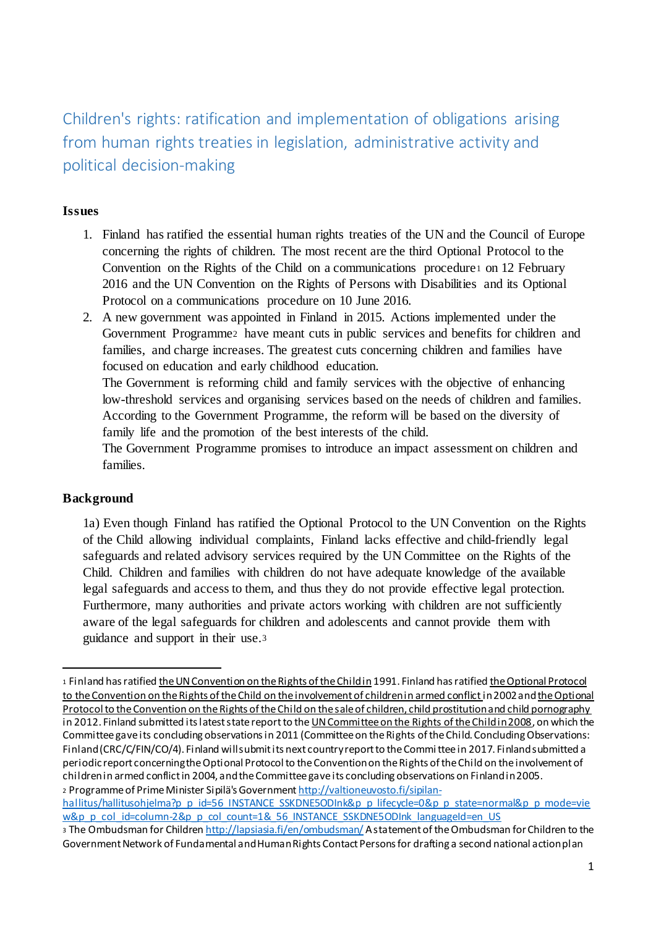Children's rights: ratification and implementation of obligations arising from human rights treaties in legislation, administrative activity and political decision-making

# **Issues**

- 1. Finland has ratified the essential human rights treaties of the UN and the Council of Europe concerning the rights of children. The most recent are the third Optional Protocol to the Convention on the Rights of the Child on a communications procedure<sup>1</sup> on 12 February 2016 and the UN Convention on the Rights of Persons with Disabilities and its Optional Protocol on a communications procedure on 10 June 2016.
- 2. A new government was appointed in Finland in 2015. Actions implemented under the Government Programme2 have meant cuts in public services and benefits for children and families, and charge increases. The greatest cuts concerning children and families have focused on education and early childhood education.

The Government is reforming child and family services with the objective of enhancing low-threshold services and organising services based on the needs of children and families. According to the Government Programme, the reform will be based on the diversity of family life and the promotion of the best interests of the child.

The Government Programme promises to introduce an impact assessment on children and families.

## **Background**

1a) Even though Finland has ratified the Optional Protocol to the UN Convention on the Rights of the Child allowing individual complaints, Finland lacks effective and child-friendly legal safeguards and related advisory services required by the UN Committee on the Rights of the Child. Children and families with children do not have adequate knowledge of the available legal safeguards and access to them, and thus they do not provide effective legal protection. Furthermore, many authorities and private actors working with children are not sufficiently aware of the legal safeguards for children and adolescents and cannot provide them with guidance and support in their use.<sup>3</sup>

hallitus/hallitusohjelma?p\_p\_id=56\_INSTANCE\_SSKDNE5ODInk&p\_p\_lifecycle=0&p\_p\_state=normal&p\_p\_mode=vie w&p\_p\_col\_id=column-2&p\_p\_col\_count=1&\_56\_INSTANCE\_SSKDNE5ODInk\_languageId=en\_US

<sup>1</sup> <sup>1</sup> Finland has ratified the UN Convention on the Rights of the Child in 1991. Finland has ratified the Optional Protocol to the Convention on the Rights of the Child on the involvement of children in armed conflict in 2002 and the Optional Protocol to the Convention on the Rights of the Child on the sale of children, child prostitution and child pornography in 2012. Finland submitted its latest state report to the UN Committee on the Rights of the Child in 2008, on which the Committee gave its concluding observations in 2011 (Committee on the Rights of the Child. Concluding Observations: Finland (CRC/C/FIN/CO/4). Finland will submit its next country report to the Committee in 2017. Finland submitted a periodic report concerning the Optional Protocol to the Convention on the Rights of the Child on the involvement of children in armed conflict in 2004, and the Committee gave its concluding observations on Finland in 2005. 2 Programme of Prime Minister Sipilä's Government http://valtioneuvosto.fi/sipilan-

<sup>3</sup> The Ombudsman for Children http://lapsiasia.fi/en/ombudsman/ A statement of the Ombudsman for Children to the Government Network of Fundamental and Human Rights Contact Persons for drafting a second national action plan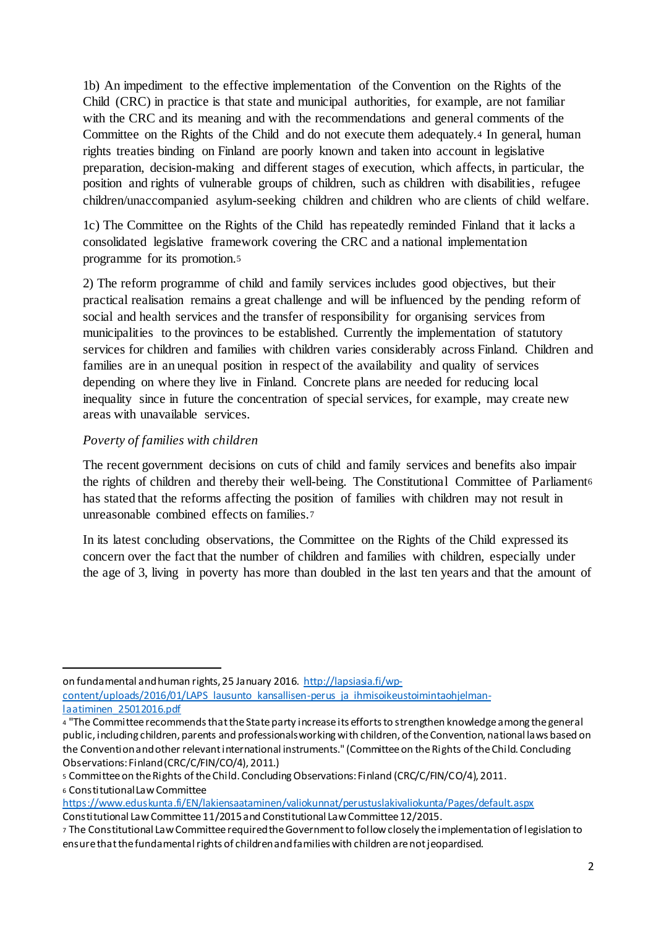1b) An impediment to the effective implementation of the Convention on the Rights of the Child (CRC) in practice is that state and municipal authorities, for example, are not familiar with the CRC and its meaning and with the recommendations and general comments of the Committee on the Rights of the Child and do not execute them adequately.<sup>4</sup> In general, human rights treaties binding on Finland are poorly known and taken into account in legislative preparation, decision-making and different stages of execution, which affects, in particular, the position and rights of vulnerable groups of children, such as children with disabilities, refugee children/unaccompanied asylum-seeking children and children who are clients of child welfare.

1c) The Committee on the Rights of the Child has repeatedly reminded Finland that it lacks a consolidated legislative framework covering the CRC and a national implementation programme for its promotion.<sup>5</sup>

2) The reform programme of child and family services includes good objectives, but their practical realisation remains a great challenge and will be influenced by the pending reform of social and health services and the transfer of responsibility for organising services from municipalities to the provinces to be established. Currently the implementation of statutory services for children and families with children varies considerably across Finland. Children and families are in an unequal position in respect of the availability and quality of services depending on where they live in Finland. Concrete plans are needed for reducing local inequality since in future the concentration of special services, for example, may create new areas with unavailable services.

# *Poverty of families with children*

The recent government decisions on cuts of child and family services and benefits also impair the rights of children and thereby their well-being. The Constitutional Committee of Parliament<sup>6</sup> has stated that the reforms affecting the position of families with children may not result in unreasonable combined effects on families.<sup>7</sup>

In its latest concluding observations, the Committee on the Rights of the Child expressed its concern over the fact that the number of children and families with children, especially under the age of 3, living in poverty has more than doubled in the last ten years and that the amount of

on fundamental and human rights, 25 January 2016. http://lapsiasia.fi/wpcontent/uploads/2016/01/LAPS\_lausunto\_kansallisen-perus\_ja\_ihmisoikeustoimintaohjelmanlaatiminen\_25012016.pdf

<sup>6</sup> Constitutional Law Committee

1

https://www.eduskunta.fi/EN/lakiensaataminen/valiokunnat/perustuslakivaliokunta/Pages/default.aspx Constitutional Law Committee 11/2015 and Constitutional Law Committee 12/2015.

<sup>4</sup> "The Committee recommends that the State party increase its efforts to strengthen knowledge among the general public, including children, parents and professionals working with children, of the Convention, national laws based on the Convention and other relevant international instruments." (Committee on the Rights of the Child. Concluding Observations: Finland (CRC/C/FIN/CO/4), 2011.)

<sup>5</sup> Committee on the Rights of the Child. Concluding Observations: Finland (CRC/C/FIN/CO/4), 2011.

<sup>7</sup> The Constitutional Law Committee required the Government to follow closely the implementation of legislation to ensure that the fundamental rights of children and families with children are not jeopardised.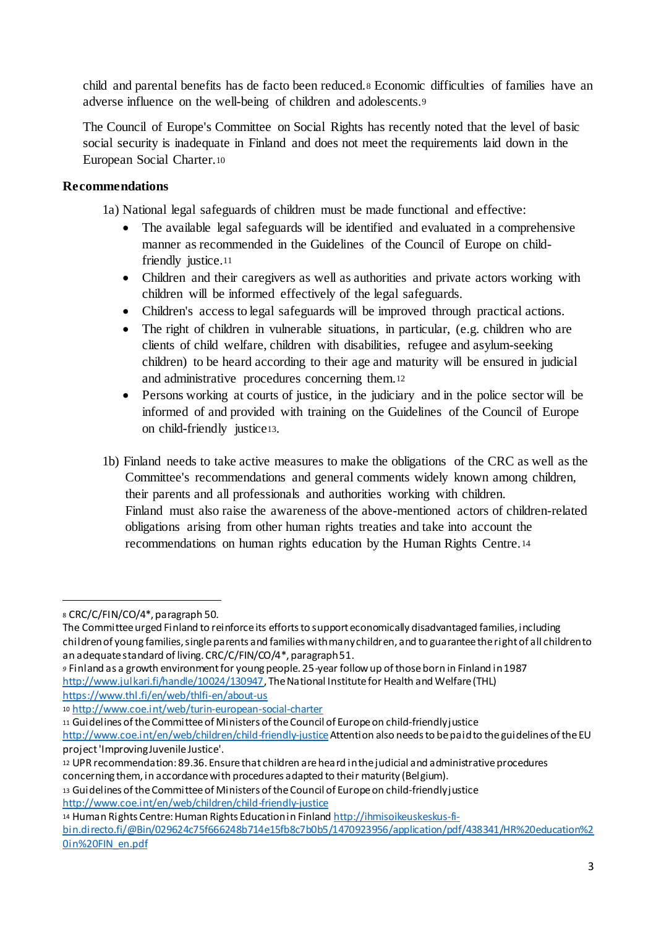child and parental benefits has de facto been reduced.<sup>8</sup> Economic difficulties of families have an adverse influence on the well-being of children and adolescents.<sup>9</sup>

The Council of Europe's Committee on Social Rights has recently noted that the level of basic social security is inadequate in Finland and does not meet the requirements laid down in the European Social Charter.<sup>10</sup>

# **Recommendations**

1a) National legal safeguards of children must be made functional and effective:

- The available legal safeguards will be identified and evaluated in a comprehensive manner as recommended in the Guidelines of the Council of Europe on childfriendly justice.<sup>11</sup>
- Children and their caregivers as well as authorities and private actors working with children will be informed effectively of the legal safeguards.
- Children's access to legal safeguards will be improved through practical actions.
- The right of children in vulnerable situations, in particular, (e.g. children who are clients of child welfare, children with disabilities, refugee and asylum-seeking children) to be heard according to their age and maturity will be ensured in judicial and administrative procedures concerning them.<sup>12</sup>
- Persons working at courts of justice, in the judiciary and in the police sector will be informed of and provided with training on the Guidelines of the Council of Europe on child-friendly justice13.
- 1b) Finland needs to take active measures to make the obligations of the CRC as well as the Committee's recommendations and general comments widely known among children, their parents and all professionals and authorities working with children. Finland must also raise the awareness of the above-mentioned actors of children-related obligations arising from other human rights treaties and take into account the recommendations on human rights education by the Human Rights Centre.<sup>14</sup>

-

<sup>11</sup> Guidelines of the Committee of Ministers of the Council of Europe on child-friendly justice

<sup>14</sup> Human Rights Centre: Human Rights Education in Finland http://ihmisoikeuskeskus-fibin.directo.fi/@Bin/029624c75f666248b714e15fb8c7b0b5/1470923956/application/pdf/438341/HR%20education%2 0in%20FIN\_en.pdf

<sup>8</sup> CRC/C/FIN/CO/4\*, paragraph 50.

The Committee urged Finland to reinforce its efforts to support economically disadvantaged families, including children of young families, single parents and families with many children, and to guarantee the right of all children to an adequate standard of living. CRC/C/FIN/CO/4\*, paragraph 51.

*<sup>9</sup>* Finland as a growth environment for young people. 25-year follow up of those born in Finland in 1987 http://www.julkari.fi/handle/10024/130947, The National Institute for Health and Welfare (THL) https://www.thl.fi/en/web/thlfi-en/about-us

<sup>10</sup> http://www.coe.int/web/turin-european-social-charter

http://www.coe.int/en/web/children/child-friendly-justice Attention also needs to be paid to the guidelines of the EU project 'Improving Juvenile Justice'.

<sup>12</sup> UPR recommendation: 89.36. Ensure that children are heard in the judicial and administrative procedures concerning them, in accordance with procedures adapted to their maturity (Belgium).

<sup>13</sup> Guidelines of the Committee of Ministers of the Council of Europe on child-friendly justice http://www.coe.int/en/web/children/child-friendly-justice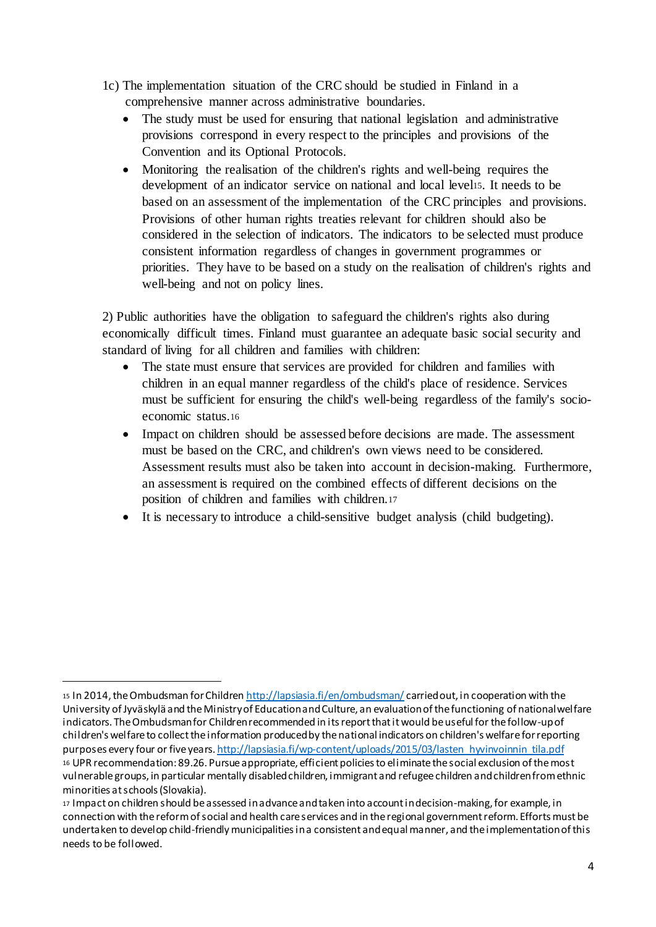- 1c) The implementation situation of the CRC should be studied in Finland in a comprehensive manner across administrative boundaries.
	- The study must be used for ensuring that national legislation and administrative provisions correspond in every respect to the principles and provisions of the Convention and its Optional Protocols.
	- Monitoring the realisation of the children's rights and well-being requires the development of an indicator service on national and local level15. It needs to be based on an assessment of the implementation of the CRC principles and provisions. Provisions of other human rights treaties relevant for children should also be considered in the selection of indicators. The indicators to be selected must produce consistent information regardless of changes in government programmes or priorities. They have to be based on a study on the realisation of children's rights and well-being and not on policy lines.

2) Public authorities have the obligation to safeguard the children's rights also during economically difficult times. Finland must guarantee an adequate basic social security and standard of living for all children and families with children:

- The state must ensure that services are provided for children and families with children in an equal manner regardless of the child's place of residence. Services must be sufficient for ensuring the child's well-being regardless of the family's socioeconomic status.<sup>16</sup>
- Impact on children should be assessed before decisions are made. The assessment must be based on the CRC, and children's own views need to be considered. Assessment results must also be taken into account in decision-making. Furthermore, an assessment is required on the combined effects of different decisions on the position of children and families with children.<sup>17</sup>
- It is necessary to introduce a child-sensitive budget analysis (child budgeting).

<sup>1</sup> <sup>15</sup> In 2014, the Ombudsman for Children http://lapsiasia.fi/en/ombudsman/ carried out, in cooperation with the University of Jyväskylä and the Ministry of Education and Culture, an evaluation of the functioning of national welfare indicators. The Ombudsman for Children recommended in its report that it would be useful for the follow-up of children's welfare to collect the information produced by the national indicators on children's welfare for reporting purposes every four or five years. http://lapsiasia.fi/wp-content/uploads/2015/03/lasten\_hyvinvoinnin\_tila.pdf <sup>16</sup> UPR recommendation: 89.26. Pursue appropriate, efficient policies to eliminate the social exclusion of the most vulnerable groups, in particular mentally disabled children, immigrant and refugee children and children from ethnic minorities at schools (Slovakia).

<sup>17</sup> Impact on children should be assessed in advance and taken into account in decision-making, for example, in connection with the reform of social and health care services and in the regional government reform. Efforts must be undertaken to develop child-friendly municipalities in a consistent and equal manner, and the implementation of this needs to be followed.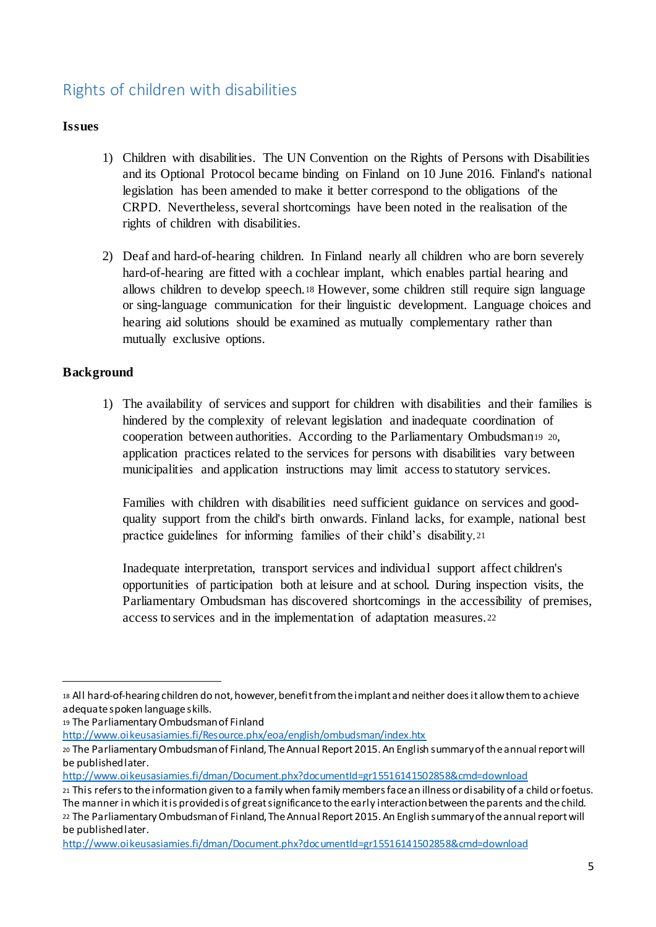# Rights of children with disabilities

# **Issues**

- 1) Children with disabilities. The UN Convention on the Rights of Persons with Disabilities and its Optional Protocol became binding on Finland on 10 June 2016. Finland's national legislation has been amended to make it better correspond to the obligations of the CRPD. Nevertheless, several shortcomings have been noted in the realisation of the rights of children with disabilities.
- 2) Deaf and hard-of-hearing children. In Finland nearly all children who are born severely hard-of-hearing are fitted with a cochlear implant, which enables partial hearing and allows children to develop speech.<sup>18</sup> However, some children still require sign language or sing-language communication for their linguistic development. Language choices and hearing aid solutions should be examined as mutually complementary rather than mutually exclusive options.

# **Background**

1

1) The availability of services and support for children with disabilities and their families is hindered by the complexity of relevant legislation and inadequate coordination of cooperation between authorities. According to the Parliamentary Ombudsman<sup>19</sup> <sup>20</sup>, application practices related to the services for persons with disabilities vary between municipalities and application instructions may limit access to statutory services.

Families with children with disabilities need sufficient guidance on services and goodquality support from the child's birth onwards. Finland lacks, for example, national best practice guidelines for informing families of their child's disability.<sup>21</sup>

Inadequate interpretation, transport services and individual support affect children's opportunities of participation both at leisure and at school. During inspection visits, the Parliamentary Ombudsman has discovered shortcomings in the accessibility of premises, access to services and in the implementation of adaptation measures.<sup>22</sup>

http://www.oikeusasiamies.fi/Resource.phx/eoa/english/ombudsman/index.htx

http://www.oikeusasiamies.fi/dman/Document.phx?documentId=gr15516141502858&cmd=download

<sup>18</sup> All hard-of-hearing children do not, however, benefit from the implant and neither does it allow them to achieve adequate spoken language skills.

<sup>19</sup> The Parliamentary Ombudsman of Finland

<sup>20</sup> The Parliamentary Ombudsman of Finland, The Annual Report 2015. An English summary of the annual report will be published later.

<sup>21</sup> This refers to the information given to a family when family members face an illness or disability of a child or foetus. The manner in which it is provided is of great significance to the early interaction between the parents and the child. <sup>22</sup> The Parliamentary Ombudsman of Finland, The Annual Report 2015. An English summary of the annual report will be published later.

http://www.oikeusasiamies.fi/dman/Document.phx?documentId=gr15516141502858&cmd=download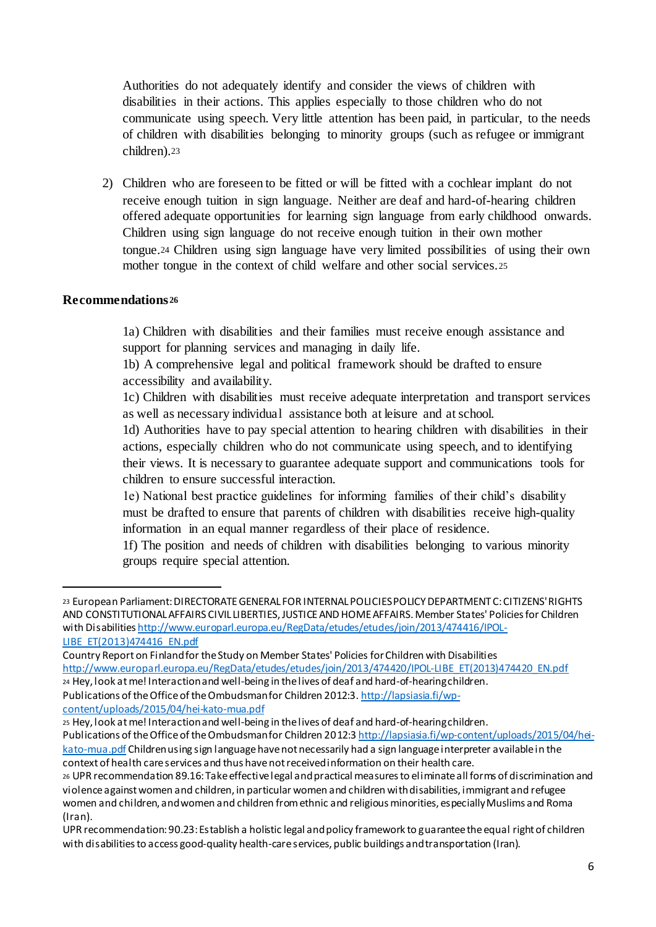Authorities do not adequately identify and consider the views of children with disabilities in their actions. This applies especially to those children who do not communicate using speech. Very little attention has been paid, in particular, to the needs of children with disabilities belonging to minority groups (such as refugee or immigrant children).<sup>23</sup>

2) Children who are foreseen to be fitted or will be fitted with a cochlear implant do not receive enough tuition in sign language. Neither are deaf and hard-of-hearing children offered adequate opportunities for learning sign language from early childhood onwards. Children using sign language do not receive enough tuition in their own mother tongue.<sup>24</sup> Children using sign language have very limited possibilities of using their own mother tongue in the context of child welfare and other social services.<sup>25</sup>

#### **Recommendations <sup>26</sup>**

1

1a) Children with disabilities and their families must receive enough assistance and support for planning services and managing in daily life.

1b) A comprehensive legal and political framework should be drafted to ensure accessibility and availability.

1c) Children with disabilities must receive adequate interpretation and transport services as well as necessary individual assistance both at leisure and at school.

1d) Authorities have to pay special attention to hearing children with disabilities in their actions, especially children who do not communicate using speech, and to identifying their views. It is necessary to guarantee adequate support and communications tools for children to ensure successful interaction.

1e) National best practice guidelines for informing families of their child's disability must be drafted to ensure that parents of children with disabilities receive high-quality information in an equal manner regardless of their place of residence.

1f) The position and needs of children with disabilities belonging to various minority groups require special attention.

content/uploads/2015/04/hei-kato-mua.pdf

<sup>23</sup> European Parliament: DIRECTORATE GENERAL FOR INTERNAL POLICIES POLICY DEPARTMENT C: CITIZENS' RIGHTS AND CONSTITUTIONAL AFFAIRS CIVIL LIBERTIES, JUSTICE AND HOME AFFAIRS. Member States' Policies for Children with Disabilities http://www.europarl.europa.eu/RegData/etudes/etudes/join/2013/474416/IPOL-LIBE\_ET(2013)474416\_EN.pdf

Country Report on Finland for the Study on Member States' Policies for Children with Disabilities http://www.europarl.europa.eu/RegData/etudes/etudes/join/2013/474420/IPOL-LIBE\_ET(2013)474420\_EN.pdf <sup>24</sup> Hey, look at me! Interaction and well-being in the lives of deaf and hard-of-hearing children. Publications of the Office of the Ombudsman for Children 2012:3. http://lapsiasia.fi/wp-

<sup>25</sup> Hey, look at me! Interaction and well-being in the lives of deaf and hard-of-hearing children.

Publications of the Office of the Ombudsman for Children 2012:3 http://lapsiasia.fi/wp-content/uploads/2015/04/heikato-mua.pdf Children using sign language have not necessarily had a sign language interpreter available in the

context of health care services and thus have not received information on their health care. <sup>26</sup> UPR recommendation 89.16: Take effective legal and practical measures to eliminate all forms of discrimination and violence against women and children, in particular women and children with disabilities, immigrant and refugee women and children, and women and children from ethnic and religious minorities, especially Muslims and Roma (Iran).

UPR recommendation: 90.23: Establish a holistic legal and policy framework to guarantee the equal right of children with disabilities to access good-quality health-care services, public buildings and transportation (Iran).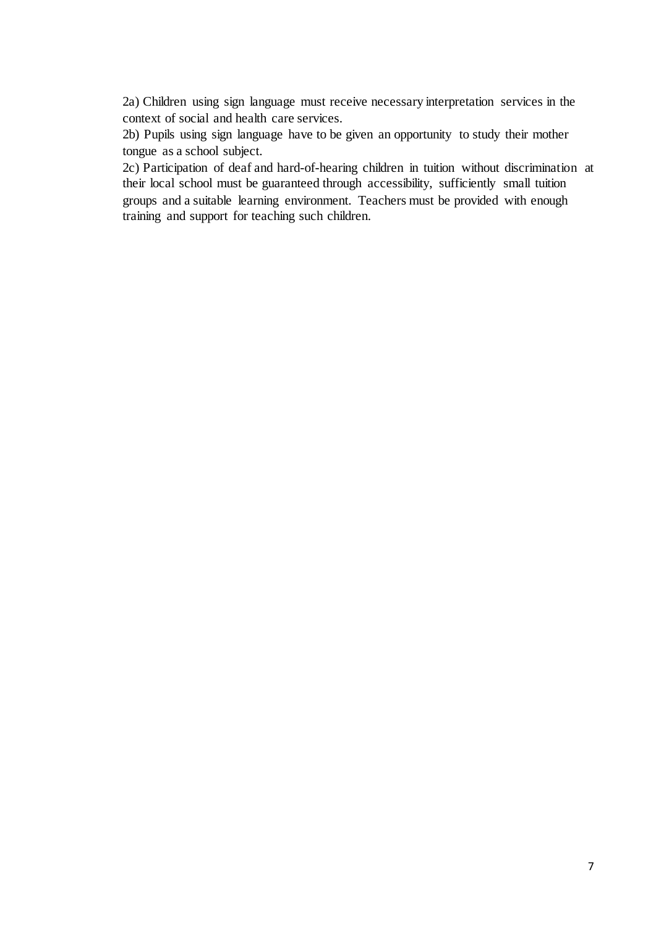2a) Children using sign language must receive necessary interpretation services in the context of social and health care services.

2b) Pupils using sign language have to be given an opportunity to study their mother tongue as a school subject.

2c) Participation of deaf and hard-of-hearing children in tuition without discrimination at their local school must be guaranteed through accessibility, sufficiently small tuition groups and a suitable learning environment. Teachers must be provided with enough training and support for teaching such children.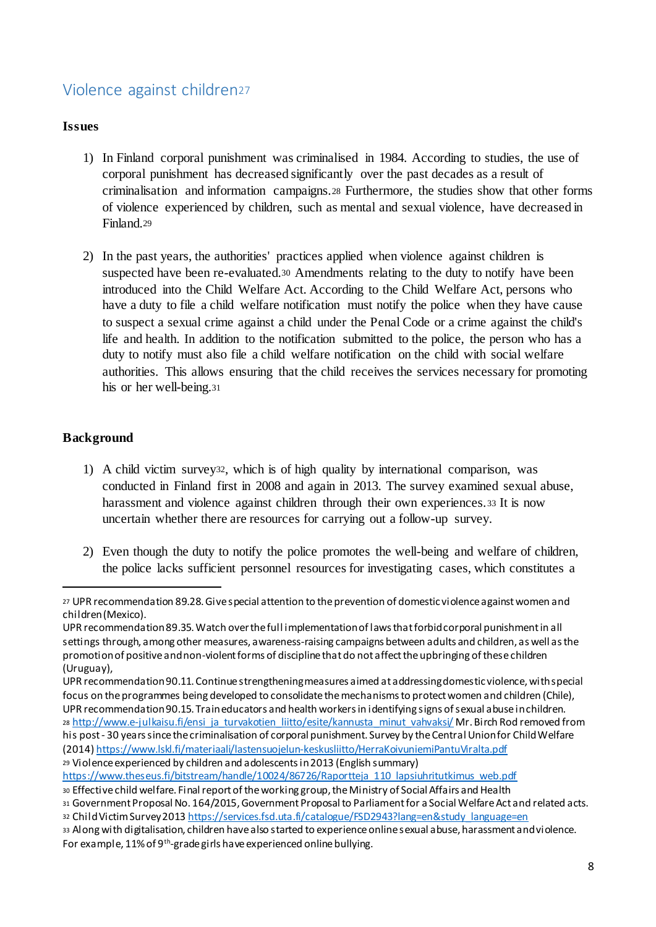# Violence against children<sup>27</sup>

# **Issues**

- 1) In Finland corporal punishment was criminalised in 1984. According to studies, the use of corporal punishment has decreased significantly over the past decades as a result of criminalisation and information campaigns.<sup>28</sup> Furthermore, the studies show that other forms of violence experienced by children, such as mental and sexual violence, have decreased in Finland.<sup>29</sup>
- 2) In the past years, the authorities' practices applied when violence against children is suspected have been re-evaluated.<sup>30</sup> Amendments relating to the duty to notify have been introduced into the Child Welfare Act. According to the Child Welfare Act, persons who have a duty to file a child welfare notification must notify the police when they have cause to suspect a sexual crime against a child under the Penal Code or a crime against the child's life and health. In addition to the notification submitted to the police, the person who has a duty to notify must also file a child welfare notification on the child with social welfare authorities. This allows ensuring that the child receives the services necessary for promoting his or her well-being.<sup>31</sup>

# **Background**

- 1) A child victim survey32, which is of high quality by international comparison, was conducted in Finland first in 2008 and again in 2013. The survey examined sexual abuse, harassment and violence against children through their own experiences.<sup>33</sup> It is now uncertain whether there are resources for carrying out a follow-up survey.
- 2) Even though the duty to notify the police promotes the well-being and welfare of children, the police lacks sufficient personnel resources for investigating cases, which constitutes a

<sup>27</sup> UPR recommendation 89.28. Give special attention to the prevention of domestic violence against women and children (Mexico).

UPR recommendation 89.35. Watch over the full implementation of laws that forbid corporal punishment in all settings through, among other measures, awareness-raising campaigns between adults and children, as well as the promotion of positive and non-violent forms of discipline that do not affect the upbringing of these children (Uruguay),

UPR recommendation 90.11. Continue strengthening measures aimed at addressing domestic violence, with special focus on the programmes being developed to consolidate the mechanisms to protect women and children (Chile), UPR recommendation 90.15. Train educators and health workers in identifying signs of sexual abuse in children. 28 http://www.e-julkaisu.fi/ensi\_ja\_turvakotien\_liitto/esite/kannusta\_minut\_vahvaksi/ Mr. Birch Rod removed from his post - 30 years since the criminalisation of corporal punishment. Survey by the Central Union for Child Welfare (2014) https://www.lskl.fi/materiaali/lastensuojelun-keskusliitto/HerraKoivuniemiPantuViralta.pdf

<sup>29</sup> Violence experienced by children and adolescents in 2013 (English summary) https://www.theseus.fi/bitstream/handle/10024/86726/Raportteja\_110\_lapsiuhritutkimus\_web.pdf

<sup>30</sup> Effective child welfare. Final report of the working group, the Ministry of Social Affairs and Health

<sup>31</sup> Government Proposal No. 164/2015, Government Proposal to Parliament for a Social Welfare Act and related acts. 32 Child Victim Survey 2013 https://services.fsd.uta.fi/catalogue/FSD2943?lang=en&study\_language=en

<sup>33</sup> Along with digitalisation, children have also started to experience online sexual abuse, harassment and violence. For example, 11% of 9<sup>th</sup>-grade girls have experienced online bullying.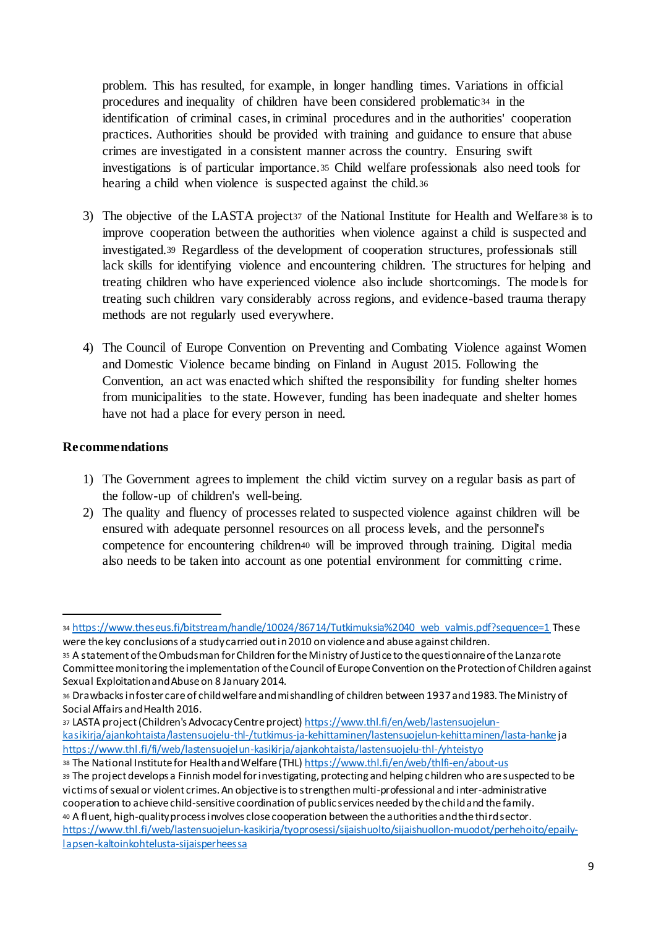problem. This has resulted, for example, in longer handling times. Variations in official procedures and inequality of children have been considered problematic<sup>34</sup> in the identification of criminal cases, in criminal procedures and in the authorities' cooperation practices. Authorities should be provided with training and guidance to ensure that abuse crimes are investigated in a consistent manner across the country. Ensuring swift investigations is of particular importance.<sup>35</sup> Child welfare professionals also need tools for hearing a child when violence is suspected against the child.<sup>36</sup>

- 3) The objective of the LASTA project<sup>37</sup> of the National Institute for Health and Welfare<sup>38</sup> is to improve cooperation between the authorities when violence against a child is suspected and investigated.<sup>39</sup> Regardless of the development of cooperation structures, professionals still lack skills for identifying violence and encountering children. The structures for helping and treating children who have experienced violence also include shortcomings. The models for treating such children vary considerably across regions, and evidence-based trauma therapy methods are not regularly used everywhere.
- 4) The Council of Europe Convention on Preventing and Combating Violence against Women and Domestic Violence became binding on Finland in August 2015. Following the Convention, an act was enacted which shifted the responsibility for funding shelter homes from municipalities to the state. However, funding has been inadequate and shelter homes have not had a place for every person in need.

## **Recommendations**

1

- 1) The Government agrees to implement the child victim survey on a regular basis as part of the follow-up of children's well-being.
- 2) The quality and fluency of processes related to suspected violence against children will be ensured with adequate personnel resources on all process levels, and the personnel's competence for encountering children<sup>40</sup> will be improved through training. Digital media also needs to be taken into account as one potential environment for committing crime.

37 LASTA project (Children's Advocacy Centre project) https://www.thl.fi/en/web/lastensuojelunkasikirja/ajankohtaista/lastensuojelu-thl-/tutkimus-ja-kehittaminen/lastensuojelun-kehittaminen/lasta-hankeja https://www.thl.fi/fi/web/lastensuojelun-kasikirja/ajankohtaista/lastensuojelu-thl-/yhteistyo

<sup>34</sup> https://www.theseus.fi/bitstream/handle/10024/86714/Tutkimuksia%2040\_web\_valmis.pdf?sequence=1 These were the key conclusions of a study carried out in 2010 on violence and abuse against children.

<sup>35</sup> A statement of the Ombudsman for Children for the Ministry of Justice to the questionnaire of the Lanzarote Committee monitoring the implementation of the Council of Europe Convention on the Protection of Children against Sexual Exploitation and Abuse on 8 January 2014.

<sup>36</sup> Drawbacks in foster care of child welfare and mishandling of children between 1937 and 1983. The Ministry of Social Affairs and Health 2016.

<sup>38</sup> The National Institute for Health and Welfare (THL) https://www.thl.fi/en/web/thlfi-en/about-us <sup>39</sup> The project develops a Finnish model for investigating, protecting and helping children who are suspected to be victims of sexual or violent crimes. An objective is to strengthen multi-professional and inter-administrative cooperation to achieve child-sensitive coordination of public services needed by the child and the family. <sup>40</sup> A fluent, high-quality process involves close cooperation between the authorities and the third sector. https://www.thl.fi/web/lastensuojelun-kasikirja/tyoprosessi/sijaishuolto/sijaishuollon-muodot/perhehoito/epailylapsen-kaltoinkohtelusta-sijaisperheessa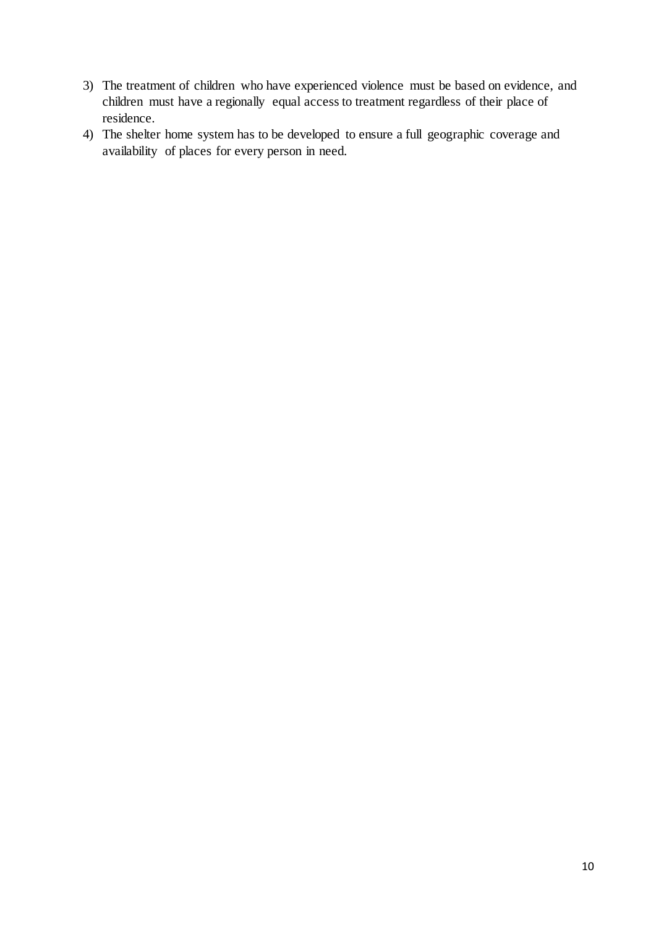- 3) The treatment of children who have experienced violence must be based on evidence, and children must have a regionally equal access to treatment regardless of their place of residence.
- 4) The shelter home system has to be developed to ensure a full geographic coverage and availability of places for every person in need.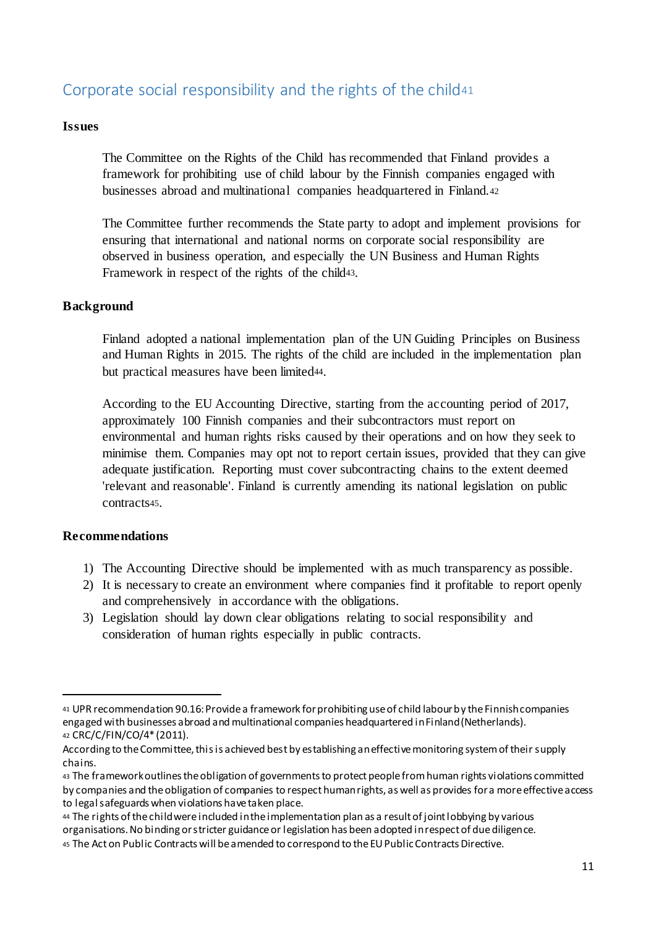# Corporate social responsibility and the rights of the child<sup>41</sup>

#### **Issues**

The Committee on the Rights of the Child has recommended that Finland provides a framework for prohibiting use of child labour by the Finnish companies engaged with businesses abroad and multinational companies headquartered in Finland.<sup>42</sup>

The Committee further recommends the State party to adopt and implement provisions for ensuring that international and national norms on corporate social responsibility are observed in business operation, and especially the UN Business and Human Rights Framework in respect of the rights of the child43.

#### **Background**

Finland adopted a national implementation plan of the UN Guiding Principles on Business and Human Rights in 2015. The rights of the child are included in the implementation plan but practical measures have been limited44.

According to the EU Accounting Directive, starting from the accounting period of 2017, approximately 100 Finnish companies and their subcontractors must report on environmental and human rights risks caused by their operations and on how they seek to minimise them. Companies may opt not to report certain issues, provided that they can give adequate justification. Reporting must cover subcontracting chains to the extent deemed 'relevant and reasonable'. Finland is currently amending its national legislation on public contracts45.

## **Recommendations**

- 1) The Accounting Directive should be implemented with as much transparency as possible.
- 2) It is necessary to create an environment where companies find it profitable to report openly and comprehensively in accordance with the obligations.
- 3) Legislation should lay down clear obligations relating to social responsibility and consideration of human rights especially in public contracts.

<sup>41</sup> UPR recommendation 90.16: Provide a framework for prohibiting use of child labour by the Finnish companies engaged with businesses abroad and multinational companies headquartered in Finland (Netherlands). <sup>42</sup> CRC/C/FIN/CO/4\* (2011).

According to the Committee, this is achieved best by establishing an effective monitoring system of their supply chains.

<sup>43</sup> The framework outlines the obligation of governments to protect people from human rights violations committed by companies and the obligation of companies to respect human rights, as well as provides for a more effective access to legal safeguards when violations have taken place.

<sup>44</sup> The rights of the child were included in the implementation plan as a result of joint lobbying by various

organisations. No binding or stricter guidance or legislation has been adopted in respect of due diligence.

<sup>45</sup> The Act on Public Contracts will be amended to correspond to the EU Public Contracts Directive.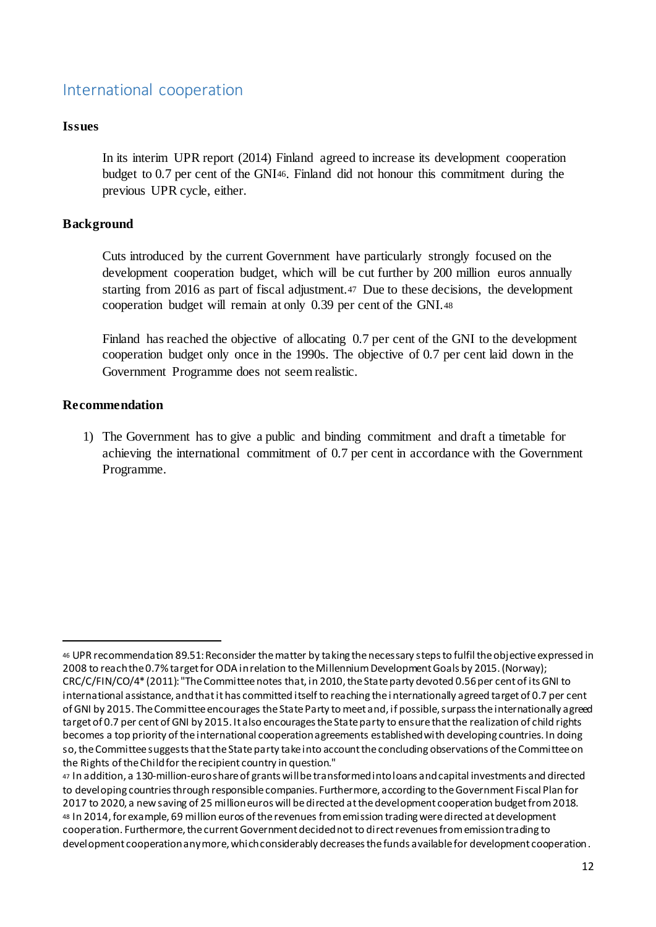# International cooperation

#### **Issues**

In its interim UPR report (2014) Finland agreed to increase its development cooperation budget to 0.7 per cent of the GNI46. Finland did not honour this commitment during the previous UPR cycle, either.

#### **Background**

Cuts introduced by the current Government have particularly strongly focused on the development cooperation budget, which will be cut further by 200 million euros annually starting from 2016 as part of fiscal adjustment.<sup>47</sup> Due to these decisions, the development cooperation budget will remain at only 0.39 per cent of the GNI.<sup>48</sup>

Finland has reached the objective of allocating 0.7 per cent of the GNI to the development cooperation budget only once in the 1990s. The objective of 0.7 per cent laid down in the Government Programme does not seem realistic.

#### **Recommendation**

1

1) The Government has to give a public and binding commitment and draft a timetable for achieving the international commitment of 0.7 per cent in accordance with the Government Programme.

<sup>46</sup> UPR recommendation 89.51: Reconsider the matter by taking the necessary steps to fulfil the objective expressed in 2008 to reach the 0.7% target for ODA in relation to the Millennium Development Goals by 2015. (Norway); CRC/C/FIN/CO/4\* (2011): "The Committee notes that, in 2010, the State party devoted 0.56 per cent of its GNI to international assistance, and that it has committed itself to reaching the i nternationally agreed target of 0.7 per cent of GNI by 2015. The Committee encourages the State Party to meet and, if possible, surpass the internationally agreed target of 0.7 per cent of GNI by 2015. It also encourages the State party to ensure that the realization of child rights becomes a top priority of the international cooperation agreements established with developing countries. In doing so, the Committee suggests that the State party take into account the concluding observations of the Committee on the Rights of the Child for the recipient country in question."

<sup>47</sup> In addition, a 130-million-euro share of grants will be transformed into loans and capital investments and directed to developing countries through responsible companies. Furthermore, according to the Government Fiscal Plan for 2017 to 2020, a new saving of 25 million euros will be directed at the development cooperation budget from 2018. <sup>48</sup> In 2014, for example, 69 million euros of the revenues from emission trading were directed at development cooperation. Furthermore, the current Government decided not to direct revenues from emission trading to development cooperation any more, which considerably decreases the funds available for development cooperation.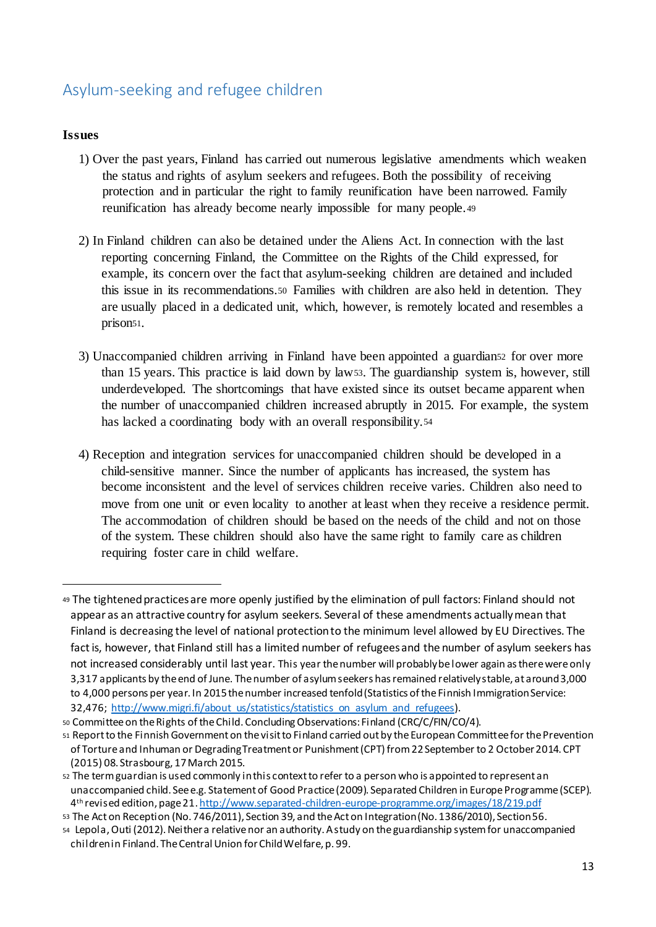# Asylum-seeking and refugee children

#### **Issues**

- 1) Over the past years, Finland has carried out numerous legislative amendments which weaken the status and rights of asylum seekers and refugees. Both the possibility of receiving protection and in particular the right to family reunification have been narrowed. Family reunification has already become nearly impossible for many people.<sup>49</sup>
- 2) In Finland children can also be detained under the Aliens Act. In connection with the last reporting concerning Finland, the Committee on the Rights of the Child expressed, for example, its concern over the fact that asylum-seeking children are detained and included this issue in its recommendations.<sup>50</sup> Families with children are also held in detention. They are usually placed in a dedicated unit, which, however, is remotely located and resembles a prison<sup>51</sup>.
- 3) Unaccompanied children arriving in Finland have been appointed a guardian<sup>52</sup> for over more than 15 years. This practice is laid down by law53. The guardianship system is, however, still underdeveloped. The shortcomings that have existed since its outset became apparent when the number of unaccompanied children increased abruptly in 2015. For example, the system has lacked a coordinating body with an overall responsibility.<sup>54</sup>
- 4) Reception and integration services for unaccompanied children should be developed in a child-sensitive manner. Since the number of applicants has increased, the system has become inconsistent and the level of services children receive varies. Children also need to move from one unit or even locality to another at least when they receive a residence permit. The accommodation of children should be based on the needs of the child and not on those of the system. These children should also have the same right to family care as children requiring foster care in child welfare.

<sup>49</sup> The tightened practices are more openly justified by the elimination of pull factors: Finland should not appear as an attractive country for asylum seekers. Several of these amendments actually mean that Finland is decreasing the level of national protection to the minimum level allowed by EU Directives. The fact is, however, that Finland still has a limited number of refugees and the number of asylum seekers has not increased considerably until last year. This year the number will probably be lower again as there were only 3,317 applicants by the end of June. The number of asylum seekers has remained relatively stable, at around 3,000 to 4,000 persons per year. In 2015 the number increased tenfold (Statistics of the Finnish Immigration Service: 32,476; http://www.migri.fi/about\_us/statistics/statistics\_on\_asylum\_and\_refugees).

<sup>50</sup> Committee on the Rights of the Child. Concluding Observations: Finland (CRC/C/FIN/CO/4).

<sup>51</sup> Report to the Finnish Government on the visit to Finland carried out by the European Committee for the Prevention of Torture and Inhuman or Degrading Treatment or Punishment (CPT) from 22 September to 2 October 2014. CPT (2015) 08. Strasbourg, 17 March 2015.

<sup>52</sup> The term guardian is used commonly in this context to refer to a person who is appointed to represent an unaccompanied child. See e.g. Statement of Good Practice (2009). Separated Children in Europe Programme (SCEP). 4 th revised edition, page 21. http://www.separated-children-europe-programme.org/images/18/219.pdf

<sup>53</sup> The Act on Reception (No. 746/2011), Section 39, and the Act on Integration (No. 1386/2010), Section 56.

<sup>54</sup> Lepola, Outi (2012). Neither a relative nor an authority. A study on the guardianship system for unaccompanied children in Finland. The Central Union for Child Welfare, p. 99.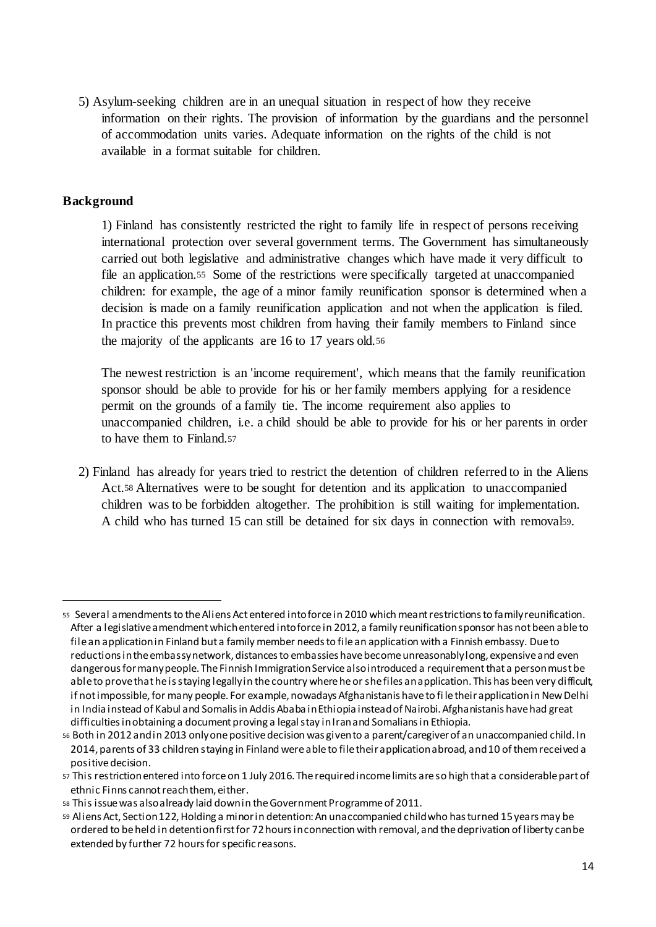5) Asylum-seeking children are in an unequal situation in respect of how they receive information on their rights. The provision of information by the guardians and the personnel of accommodation units varies. Adequate information on the rights of the child is not available in a format suitable for children.

#### **Background**

-

1) Finland has consistently restricted the right to family life in respect of persons receiving international protection over several government terms. The Government has simultaneously carried out both legislative and administrative changes which have made it very difficult to file an application.<sup>55</sup> Some of the restrictions were specifically targeted at unaccompanied children: for example, the age of a minor family reunification sponsor is determined when a decision is made on a family reunification application and not when the application is filed. In practice this prevents most children from having their family members to Finland since the majority of the applicants are 16 to 17 years old.<sup>56</sup>

The newest restriction is an 'income requirement', which means that the family reunification sponsor should be able to provide for his or her family members applying for a residence permit on the grounds of a family tie. The income requirement also applies to unaccompanied children, i.e. a child should be able to provide for his or her parents in order to have them to Finland.<sup>57</sup>

2) Finland has already for years tried to restrict the detention of children referred to in the Aliens Act.<sup>58</sup> Alternatives were to be sought for detention and its application to unaccompanied children was to be forbidden altogether. The prohibition is still waiting for implementation. A child who has turned 15 can still be detained for six days in connection with removal59.

<sup>55</sup> Several amendments to the Aliens Act entered into force in 2010 which meant restrictions to family reunification. After a legislative amendment which entered into force in 2012, a family reunification sponsor has not been able to file an application in Finland but a family member needs to file an application with a Finnish embassy. Due to reductions in the embassy network, distances to embassies have become unreasonably long, expensive and even dangerous for many people. The Finnish Immigration Service also introduced a requirement that a person must be able to prove that he is staying legally in the country where he or she files an application. This has been very difficult, if not impossible, for many people. For example, nowadays Afghanistanis have to fi le their application in New Delhi in India instead of Kabul and Somalis in Addis Ababa in Ethiopia instead of Nairobi. Afghanistanis have had great difficulties in obtaining a document proving a legal stay in Iran and Somalians in Ethiopia.

<sup>56</sup> Both in 2012 and in 2013 only one positive decision was given to a parent/caregiver of an unaccompanied child. In 2014, parents of 33 children staying in Finland were able to file their application abroad, and 10 of them received a positive decision.

<sup>57</sup> This restrictionentered into force on 1 July 2016. The required income limits are so high that a considerable part of ethnic Finns cannot reach them, either.

<sup>58</sup> This issue was also already laid down in the Government Programme of 2011.

<sup>59</sup> Aliens Act, Section 122, Holding a minor in detention: An unaccompanied child who has turned 15 years may be ordered to be held in detention first for 72 hours in connection with removal, and the deprivation of liberty can be extended by further 72 hours for specific reasons.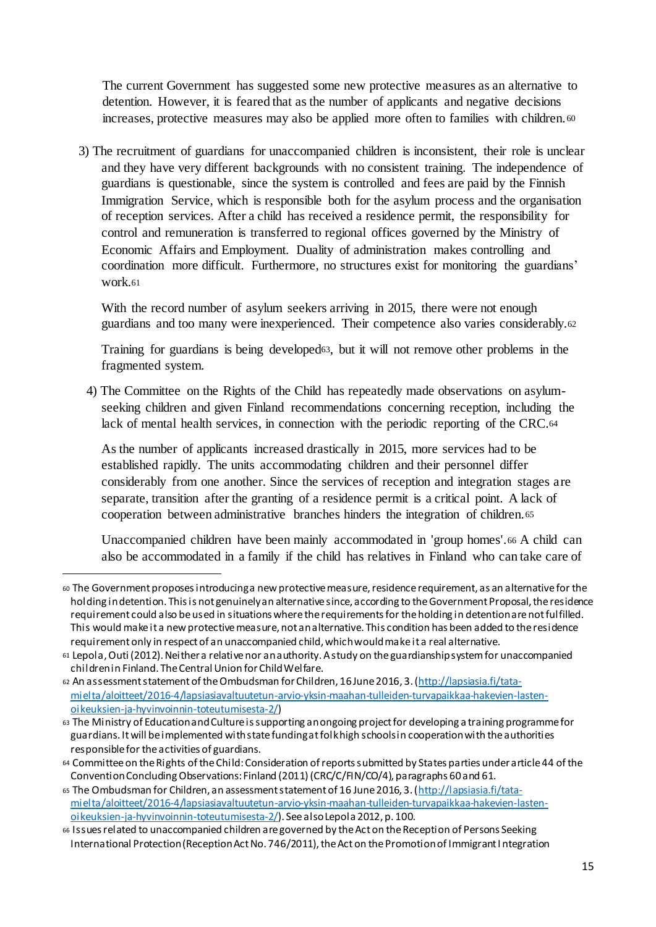The current Government has suggested some new protective measures as an alternative to detention. However, it is feared that as the number of applicants and negative decisions increases, protective measures may also be applied more often to families with children. <sup>60</sup>

3) The recruitment of guardians for unaccompanied children is inconsistent, their role is unclear and they have very different backgrounds with no consistent training. The independence of guardians is questionable, since the system is controlled and fees are paid by the Finnish Immigration Service, which is responsible both for the asylum process and the organisation of reception services. After a child has received a residence permit, the responsibility for control and remuneration is transferred to regional offices governed by the Ministry of Economic Affairs and Employment. Duality of administration makes controlling and coordination more difficult. Furthermore, no structures exist for monitoring the guardians' work.<sup>61</sup>

With the record number of asylum seekers arriving in 2015, there were not enough guardians and too many were inexperienced. Their competence also varies considerably.<sup>62</sup>

Training for guardians is being developed63, but it will not remove other problems in the fragmented system.

4) The Committee on the Rights of the Child has repeatedly made observations on asylumseeking children and given Finland recommendations concerning reception, including the lack of mental health services, in connection with the periodic reporting of the CRC.<sup>64</sup>

As the number of applicants increased drastically in 2015, more services had to be established rapidly. The units accommodating children and their personnel differ considerably from one another. Since the services of reception and integration stages are separate, transition after the granting of a residence permit is a critical point. A lack of cooperation between administrative branches hinders the integration of children.<sup>65</sup>

Unaccompanied children have been mainly accommodated in 'group homes'.<sup>66</sup> A child can also be accommodated in a family if the child has relatives in Finland who can take care of

<sup>60</sup> The Government proposes introducing a new protective measure, residence requirement, as an alternative for the holding in detention. This is not genuinely an alternative since, according to the Government Proposal, the residence requirement could also be used in situations where the requirements for the holding in detention are not fulfilled. This would make it a new protective measure, not an alternative. This condition has been added to the residence requirement only in respect of an unaccompanied child, which would make it a real alternative.

<sup>61</sup> Lepola, Outi (2012). Neither a relative nor an authority. A study on the guardianship system for unaccompanied children in Finland. The Central Union for Child Welfare.

<sup>62</sup> An assessment statement of the Ombudsman for Children, 16 June 2016, 3. (http://lapsiasia.fi/tatamielta/aloitteet/2016-4/lapsiasiavaltuutetun-arvio-yksin-maahan-tulleiden-turvapaikkaa-hakevien-lastenoikeuksien-ja-hyvinvoinnin-toteutumisesta-2/)

<sup>63</sup> The Ministry of Education and Culture is supporting an ongoing project for developing a training programme for guardians. It will be implemented with state funding at folk high schools in cooperation with the authorities responsible for the activities of guardians.

<sup>64</sup> Committee on the Rights of the Child: Consideration of reports submitted by States parties under article 44 of the Convention Concluding Observations: Finland (2011) (CRC/C/FIN/CO/4), paragraphs 60 and 61.

<sup>65</sup> The Ombudsman for Children, an assessment statement of 16 June 2016, 3. (http://lapsiasia.fi/tatamielta/aloitteet/2016-4/lapsiasiavaltuutetun-arvio-yksin-maahan-tulleiden-turvapaikkaa-hakevien-lastenoikeuksien-ja-hyvinvoinnin-toteutumisesta-2/). See also Lepola 2012, p. 100.

<sup>66</sup> Issues related to unaccompanied children are governed by the Act on the Reception of Persons Seeking International Protection (Reception Act No. 746/2011), the Act on the Promotion of Immigrant I ntegration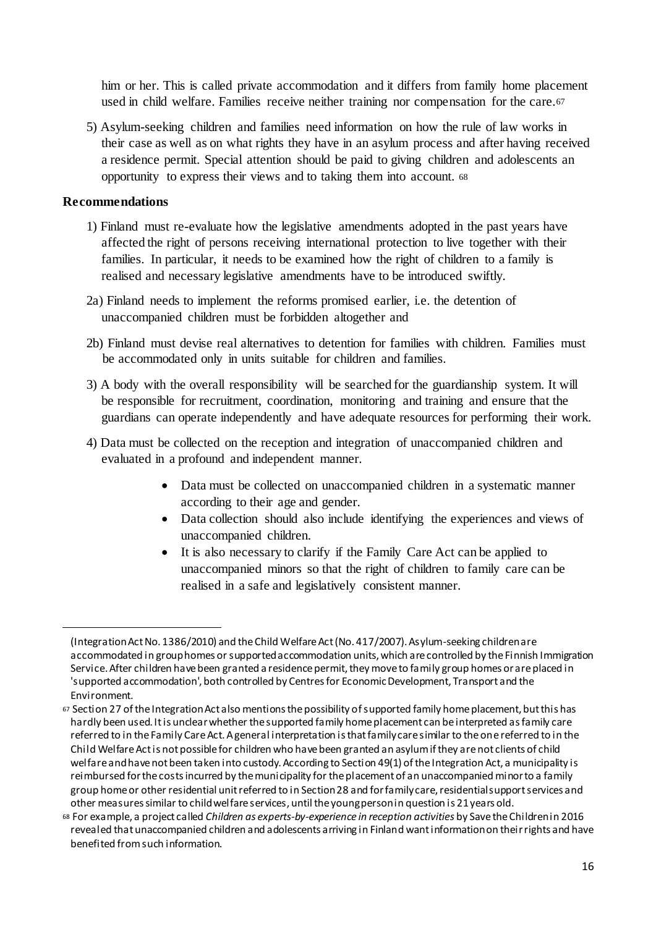him or her. This is called private accommodation and it differs from family home placement used in child welfare. Families receive neither training nor compensation for the care.<sup>67</sup>

5) Asylum-seeking children and families need information on how the rule of law works in their case as well as on what rights they have in an asylum process and after having received a residence permit. Special attention should be paid to giving children and adolescents an opportunity to express their views and to taking them into account. <sup>68</sup>

#### **Recommendations**

- 1) Finland must re-evaluate how the legislative amendments adopted in the past years have affected the right of persons receiving international protection to live together with their families. In particular, it needs to be examined how the right of children to a family is realised and necessary legislative amendments have to be introduced swiftly.
- 2a) Finland needs to implement the reforms promised earlier, i.e. the detention of unaccompanied children must be forbidden altogether and
- 2b) Finland must devise real alternatives to detention for families with children. Families must be accommodated only in units suitable for children and families.
- 3) A body with the overall responsibility will be searched for the guardianship system. It will be responsible for recruitment, coordination, monitoring and training and ensure that the guardians can operate independently and have adequate resources for performing their work.
- 4) Data must be collected on the reception and integration of unaccompanied children and evaluated in a profound and independent manner.
	- Data must be collected on unaccompanied children in a systematic manner according to their age and gender.
	- Data collection should also include identifying the experiences and views of unaccompanied children.
	- It is also necessary to clarify if the Family Care Act can be applied to unaccompanied minors so that the right of children to family care can be realised in a safe and legislatively consistent manner.

<sup>(</sup>Integration Act No. 1386/2010) and the Child Welfare Act (No. 417/2007). Asylum-seeking children are accommodated in group homes or supported accommodation units, which are controlled by the Finnish Immigration Service. After children have been granted a residence permit, they move to family group homes or are placed in 'supported accommodation', both controlled by Centres for Economic Development, Transport and the Environment.

<sup>67</sup> Section 27 of the Integration Act also mentions the possibility of supported family home placement, but this has hardly been used. It is unclear whether the supported family home placement can be interpreted as family care referred to in the Family Care Act. A general interpretation is that family care similar to the one referred to in the Child Welfare Act is not possible for children who have been granted an asylum if they are not clients of child welfare and have not been taken into custody. According to Section 49(1) of the Integration Act, a municipality is reimbursed for the costs incurred by the municipality for the placement of an unaccompanied minor to a family group home or other residential unit referred to in Section 28 and for family care, residential support services and other measures similar to child welfare services, until the young person in question is 21 years old.

<sup>68</sup> For example, a project called *Children as experts-by-experience in reception activities* by Save the Children in 2016 revealed that unaccompanied children and adolescents arriving in Finland want information on their rights and have benefited from such information.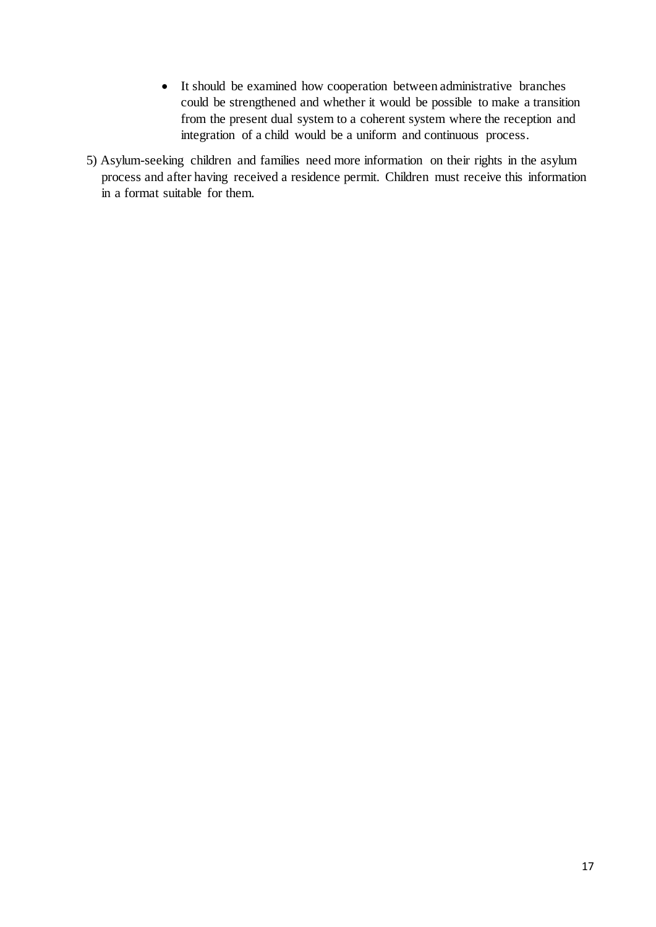- It should be examined how cooperation between administrative branches could be strengthened and whether it would be possible to make a transition from the present dual system to a coherent system where the reception and integration of a child would be a uniform and continuous process.
- 5) Asylum-seeking children and families need more information on their rights in the asylum process and after having received a residence permit. Children must receive this information in a format suitable for them.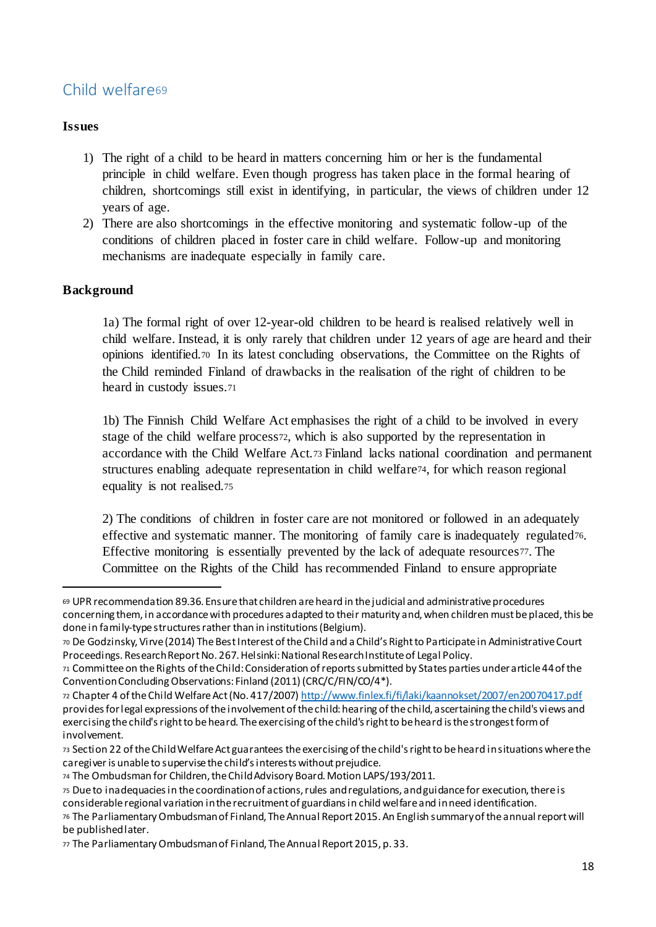# Child welfare69

## **Issues**

- 1) The right of a child to be heard in matters concerning him or her is the fundamental principle in child welfare. Even though progress has taken place in the formal hearing of children, shortcomings still exist in identifying, in particular, the views of children under 12 years of age.
- 2) There are also shortcomings in the effective monitoring and systematic follow-up of the conditions of children placed in foster care in child welfare. Follow-up and monitoring mechanisms are inadequate especially in family care.

# **Background**

1

1a) The formal right of over 12-year-old children to be heard is realised relatively well in child welfare. Instead, it is only rarely that children under 12 years of age are heard and their opinions identified.<sup>70</sup> In its latest concluding observations, the Committee on the Rights of the Child reminded Finland of drawbacks in the realisation of the right of children to be heard in custody issues.<sup>71</sup>

1b) The Finnish Child Welfare Act emphasises the right of a child to be involved in every stage of the child welfare process72, which is also supported by the representation in accordance with the Child Welfare Act.<sup>73</sup> Finland lacks national coordination and permanent structures enabling adequate representation in child welfare74, for which reason regional equality is not realised.<sup>75</sup>

2) The conditions of children in foster care are not monitored or followed in an adequately effective and systematic manner. The monitoring of family care is inadequately regulated76. Effective monitoring is essentially prevented by the lack of adequate resources77. The Committee on the Rights of the Child has recommended Finland to ensure appropriate

<sup>69</sup> UPR recommendation 89.36. Ensure that children are heard in the judicial and administrative procedures concerning them, in accordance with procedures adapted to their maturity and, when children must be placed, this be done in family-type structures rather than in institutions (Belgium).

<sup>70</sup> De Godzinsky, Virve (2014) The Best Interest of the Child and a Child's Right to Participate in Administrative Court Proceedings. Research Report No. 267. Helsinki: National Research Institute of Legal Policy.

<sup>71</sup> Committee on the Rights of the Child: Consideration of reports submitted by States parties under article 44 of the Convention Concluding Observations: Finland (2011) (CRC/C/FIN/CO/4\*).

<sup>72</sup> Chapter 4 of the Child Welfare Act (No. 417/2007) http://www.finlex.fi/fi/laki/kaannokset/2007/en20070417.pdf provides for legal expressions of the involvement of the child: hearing of the child, ascertaining the child's views and exercising the child's right to be heard. The exercising of the child's right to be heard is the strongest form of involvement.

<sup>73</sup> Section 22 of the Child Welfare Act guarantees the exercising of the child's right to be heard in situations where the caregiver is unable to supervise the child's interests without prejudice.

<sup>74</sup> The Ombudsman for Children, the Child Advisory Board. Motion LAPS/193/2011.

<sup>75</sup> Due to inadequacies in the coordination of actions, rules and regulations, and guidance for execution, there is considerable regional variation in the recruitment of guardians in child welfare and in need identification.

<sup>76</sup> The Parliamentary Ombudsman of Finland, The Annual Report 2015. An English summary of the annual report will be published later.

<sup>77</sup> The Parliamentary Ombudsman of Finland, The Annual Report 2015, p. 33.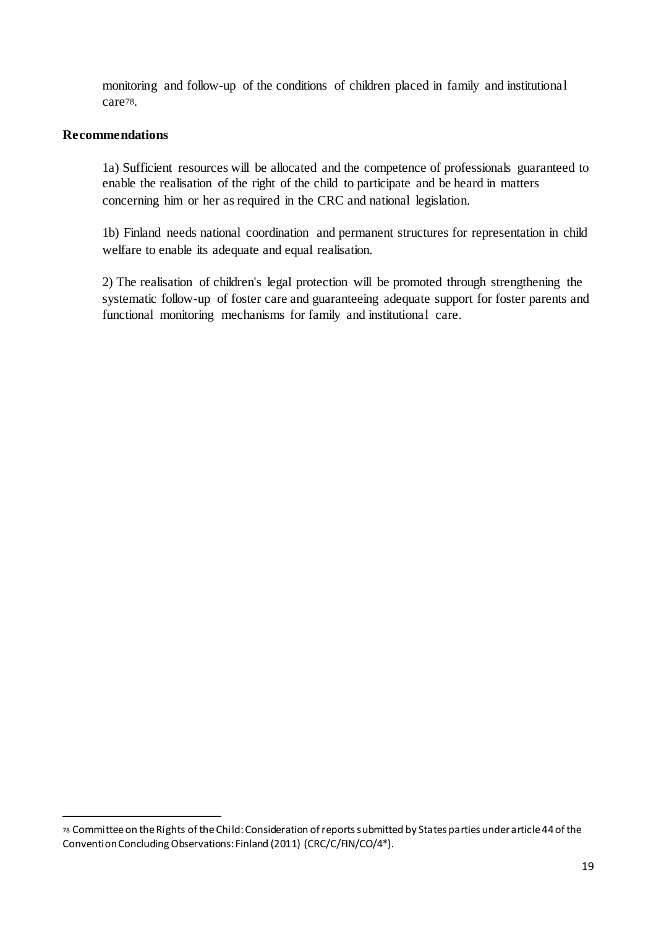monitoring and follow-up of the conditions of children placed in family and institutional care78.

## **Recommendations**

-

1a) Sufficient resources will be allocated and the competence of professionals guaranteed to enable the realisation of the right of the child to participate and be heard in matters concerning him or her as required in the CRC and national legislation.

1b) Finland needs national coordination and permanent structures for representation in child welfare to enable its adequate and equal realisation.

2) The realisation of children's legal protection will be promoted through strengthening the systematic follow-up of foster care and guaranteeing adequate support for foster parents and functional monitoring mechanisms for family and institutional care.

<sup>78</sup> Committee on the Rights of the Child: Consideration of reports submitted by States parties under article 44 of the Convention Concluding Observations: Finland (2011) (CRC/C/FIN/CO/4\*).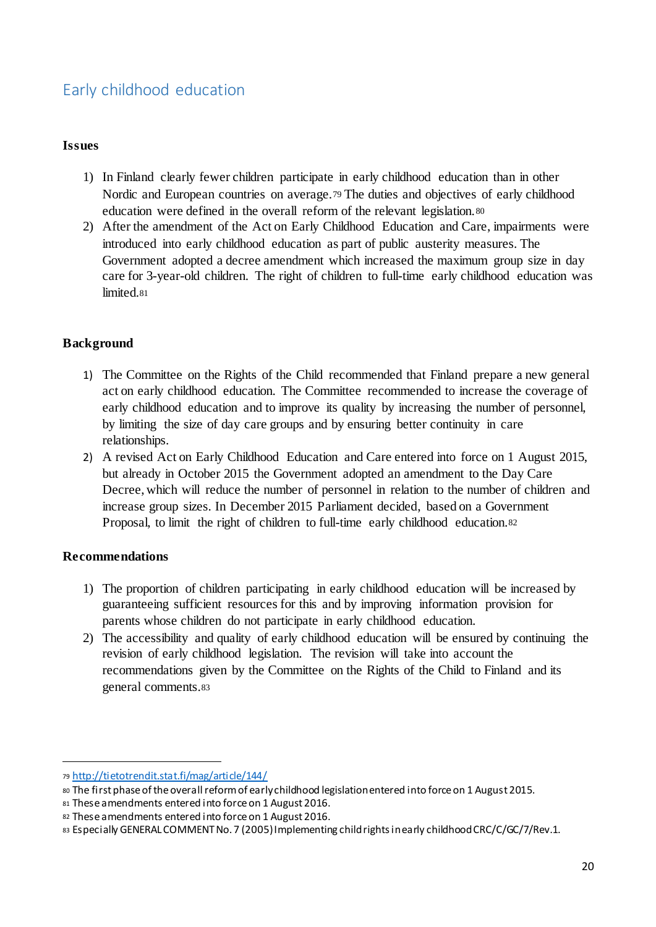# Early childhood education

## **Issues**

- 1) In Finland clearly fewer children participate in early childhood education than in other Nordic and European countries on average.<sup>79</sup> The duties and objectives of early childhood education were defined in the overall reform of the relevant legislation.<sup>80</sup>
- 2) After the amendment of the Act on Early Childhood Education and Care, impairments were introduced into early childhood education as part of public austerity measures. The Government adopted a decree amendment which increased the maximum group size in day care for 3-year-old children. The right of children to full-time early childhood education was limited.<sup>81</sup>

# **Background**

- 1) The Committee on the Rights of the Child recommended that Finland prepare a new general act on early childhood education. The Committee recommended to increase the coverage of early childhood education and to improve its quality by increasing the number of personnel, by limiting the size of day care groups and by ensuring better continuity in care relationships.
- 2) A revised Act on Early Childhood Education and Care entered into force on 1 August 2015, but already in October 2015 the Government adopted an amendment to the Day Care Decree, which will reduce the number of personnel in relation to the number of children and increase group sizes. In December 2015 Parliament decided, based on a Government Proposal, to limit the right of children to full-time early childhood education.<sup>82</sup>

## **Recommendations**

- 1) The proportion of children participating in early childhood education will be increased by guaranteeing sufficient resources for this and by improving information provision for parents whose children do not participate in early childhood education.
- 2) The accessibility and quality of early childhood education will be ensured by continuing the revision of early childhood legislation. The revision will take into account the recommendations given by the Committee on the Rights of the Child to Finland and its general comments.<sup>83</sup>

<sup>79</sup> http://tietotrendit.stat.fi/mag/article/144/

<sup>80</sup> The first phase of the overall reform of early childhood legislation entered into force on 1 August 2015.

<sup>81</sup> These amendments entered into force on 1 August 2016.

<sup>82</sup> These amendments entered into force on 1 August 2016.

<sup>83</sup> Especially GENERAL COMMENT No. 7 (2005) Implementing child rights in early childhood CRC/C/GC/7/Rev.1.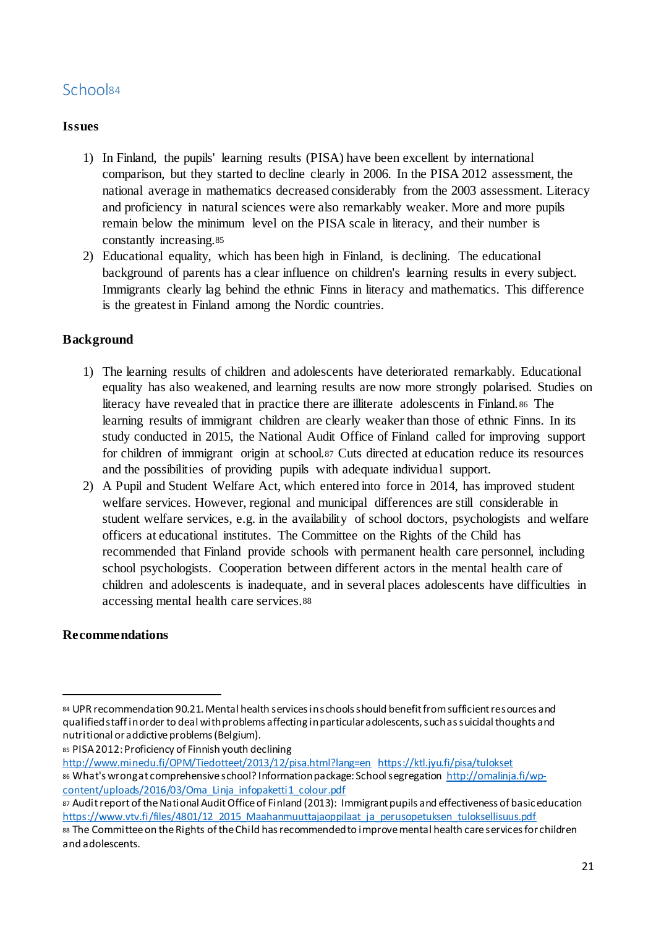# School<sup>84</sup>

# **Issues**

- 1) In Finland, the pupils' learning results (PISA) have been excellent by international comparison, but they started to decline clearly in 2006. In the PISA 2012 assessment, the national average in mathematics decreased considerably from the 2003 assessment. Literacy and proficiency in natural sciences were also remarkably weaker. More and more pupils remain below the minimum level on the PISA scale in literacy, and their number is constantly increasing.<sup>85</sup>
- 2) Educational equality, which has been high in Finland, is declining. The educational background of parents has a clear influence on children's learning results in every subject. Immigrants clearly lag behind the ethnic Finns in literacy and mathematics. This difference is the greatest in Finland among the Nordic countries.

# **Background**

- 1) The learning results of children and adolescents have deteriorated remarkably. Educational equality has also weakened, and learning results are now more strongly polarised. Studies on literacy have revealed that in practice there are illiterate adolescents in Finland.<sup>86</sup> The learning results of immigrant children are clearly weaker than those of ethnic Finns. In its study conducted in 2015, the National Audit Office of Finland called for improving support for children of immigrant origin at school.<sup>87</sup> Cuts directed at education reduce its resources and the possibilities of providing pupils with adequate individual support.
- 2) A Pupil and Student Welfare Act, which entered into force in 2014, has improved student welfare services. However, regional and municipal differences are still considerable in student welfare services, e.g. in the availability of school doctors, psychologists and welfare officers at educational institutes. The Committee on the Rights of the Child has recommended that Finland provide schools with permanent health care personnel, including school psychologists. Cooperation between different actors in the mental health care of children and adolescents is inadequate, and in several places adolescents have difficulties in accessing mental health care services.<sup>88</sup>

## **Recommendations**

1

85 PISA 2012: Proficiency of Finnish youth declining

<sup>84</sup> UPR recommendation 90.21. Mental health services in schools should benefit from sufficient resources and qualified staff in order to deal with problems affecting in particular adolescents, such as suicidal thoughts and nutritional or addictive problems (Belgium).

http://www.minedu.fi/OPM/Tiedotteet/2013/12/pisa.html?lang=en https://ktl.jyu.fi/pisa/tulokset 86 What's wrong at comprehensive school? Information package: School segregation http://omalinja.fi/wpcontent/uploads/2016/03/Oma\_Linja\_infopaketti1\_colour.pdf

<sup>87</sup> Audit report of the National Audit Office of Finland (2013): Immigrant pupils and effectiveness of basic education https://www.vtv.fi/files/4801/12\_2015\_Maahanmuuttajaoppilaat\_ja\_perusopetuksen\_tuloksellisuus.pdf

<sup>88</sup> The Committee on the Rights of the Child has recommended to improve mental health care services for children and adolescents.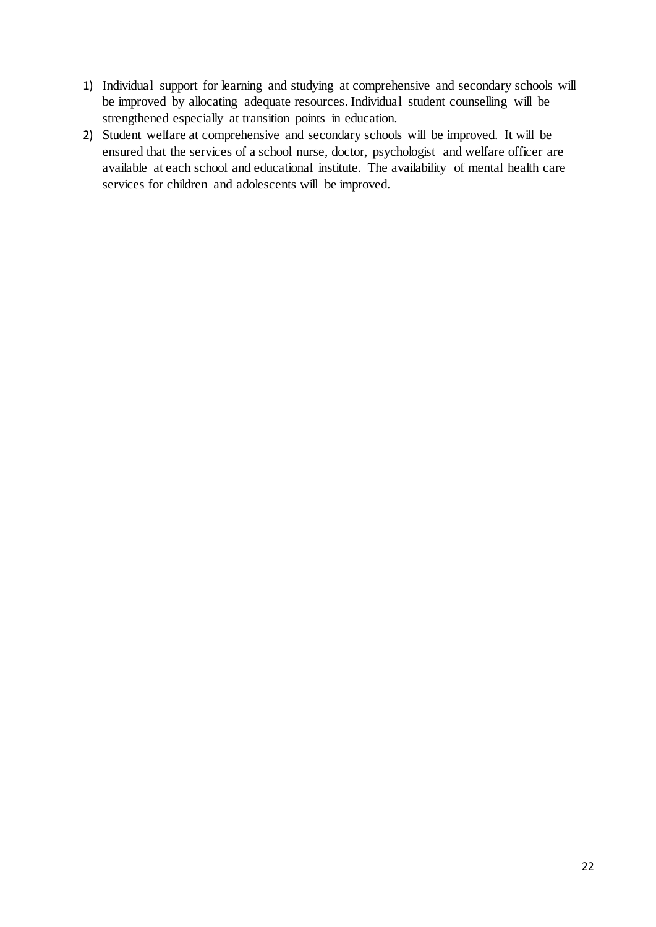- 1) Individual support for learning and studying at comprehensive and secondary schools will be improved by allocating adequate resources. Individual student counselling will be strengthened especially at transition points in education.
- 2) Student welfare at comprehensive and secondary schools will be improved. It will be ensured that the services of a school nurse, doctor, psychologist and welfare officer are available at each school and educational institute. The availability of mental health care services for children and adolescents will be improved.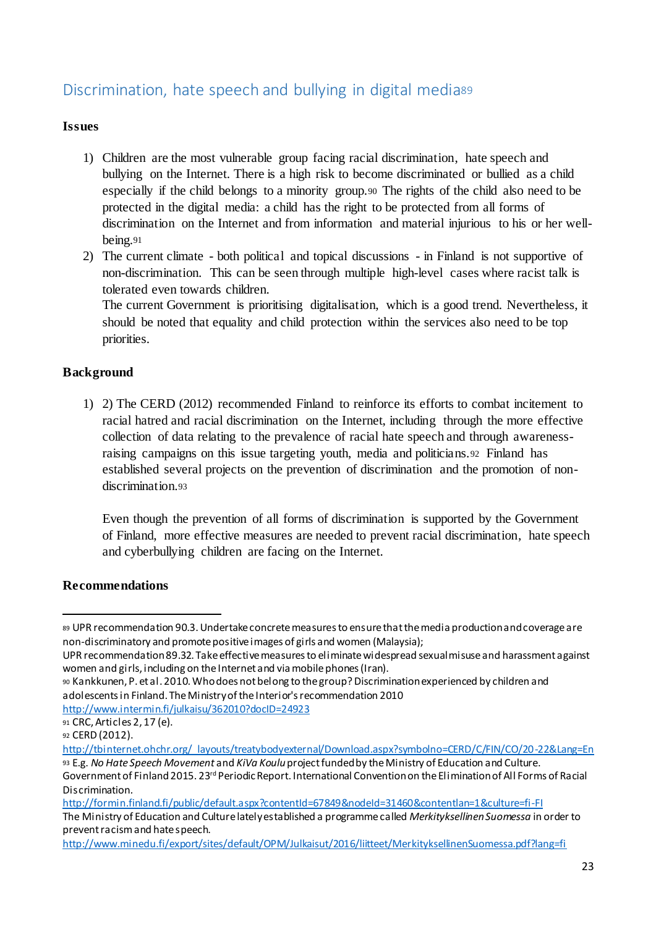# Discrimination, hate speech and bullying in digital media<sup>89</sup>

## **Issues**

- 1) Children are the most vulnerable group facing racial discrimination, hate speech and bullying on the Internet. There is a high risk to become discriminated or bullied as a child especially if the child belongs to a minority group.<sup>90</sup> The rights of the child also need to be protected in the digital media: a child has the right to be protected from all forms of discrimination on the Internet and from information and material injurious to his or her wellbeing.<sup>91</sup>
- 2) The current climate both political and topical discussions in Finland is not supportive of non-discrimination. This can be seen through multiple high-level cases where racist talk is tolerated even towards children.

The current Government is prioritising digitalisation, which is a good trend. Nevertheless, it should be noted that equality and child protection within the services also need to be top priorities.

## **Background**

1) 2) The CERD (2012) recommended Finland to reinforce its efforts to combat incitement to racial hatred and racial discrimination on the Internet, including through the more effective collection of data relating to the prevalence of racial hate speech and through awarenessraising campaigns on this issue targeting youth, media and politicians.<sup>92</sup> Finland has established several projects on the prevention of discrimination and the promotion of nondiscrimination.93

Even though the prevention of all forms of discrimination is supported by the Government of Finland, more effective measures are needed to prevent racial discrimination, hate speech and cyberbullying children are facing on the Internet.

## **Recommendations**

1

http://www.intermin.fi/julkaisu/362010?docID=24923

<sup>89</sup> UPR recommendation 90.3. Undertake concrete measures to ensure that the media production and coverage are non-discriminatory and promote positive images of girls and women (Malaysia);

UPR recommendation 89.32. Take effective measures to eliminate widespread sexual misuse and harassment against women and girls, including on the Internet and via mobile phones (Iran).

<sup>90</sup> Kankkunen, P. et al. 2010. Who does not belong to the group? Discrimination experienced by children and adolescents in Finland. The Ministry of the Interior's recommendation 2010

<sup>91</sup> CRC, Articles 2, 17 (e).

<sup>92</sup> CERD (2012).

http://tbinternet.ohchr.org/\_layouts/treatybodyexternal/Download.aspx?symbolno=CERD/C/FIN/CO/20-22&Lang=En

<sup>93</sup> E.g. *No Hate Speech Movement* and *KiVa Koulu*project funded by the Ministry of Education and Culture. Government of Finland2015. 23rd Periodic Report. International Convention on the Elimination of All Forms of Racial Discrimination*.*

http://formin.finland.fi/public/default.aspx?contentId=67849&nodeId=31460&contentlan=1&culture=fi-FI

The Ministry of Education and Culture lately established a programme called *Merkityksellinen Suomessa* in order to prevent racism and hate speech.

http://www.minedu.fi/export/sites/default/OPM/Julkaisut/2016/liitteet/MerkityksellinenSuomessa.pdf?lang=fi